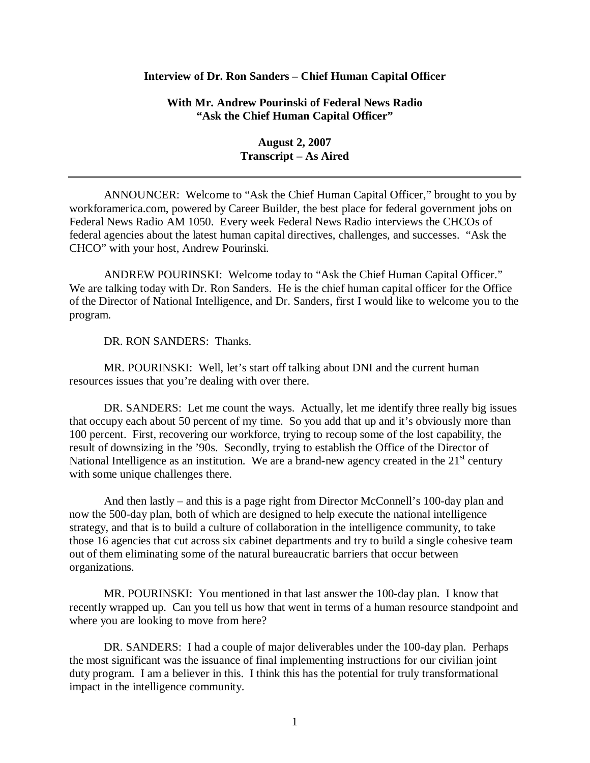## **Interview of Dr. Ron Sanders – Chief Human Capital Officer**

**With Mr. Andrew Pourinski of Federal News Radio "Ask the Chief Human Capital Officer"** 

> **August 2, 2007 Transcript – As Aired**

ANNOUNCER: Welcome to "Ask the Chief Human Capital Officer," brought to you by workforamerica.com, powered by Career Builder, the best place for federal government jobs on Federal News Radio AM 1050. Every week Federal News Radio interviews the CHCOs of federal agencies about the latest human capital directives, challenges, and successes. "Ask the CHCO" with your host, Andrew Pourinski.

ANDREW POURINSKI: Welcome today to "Ask the Chief Human Capital Officer." We are talking today with Dr. Ron Sanders. He is the chief human capital officer for the Office of the Director of National Intelligence, and Dr. Sanders, first I would like to welcome you to the program.

DR. RON SANDERS: Thanks.

MR. POURINSKI: Well, let's start off talking about DNI and the current human resources issues that you're dealing with over there.

DR. SANDERS: Let me count the ways. Actually, let me identify three really big issues that occupy each about 50 percent of my time. So you add that up and it's obviously more than 100 percent. First, recovering our workforce, trying to recoup some of the lost capability, the result of downsizing in the '90s. Secondly, trying to establish the Office of the Director of National Intelligence as an institution. We are a brand-new agency created in the  $21<sup>st</sup>$  century with some unique challenges there.

And then lastly – and this is a page right from Director McConnell's 100-day plan and now the 500-day plan, both of which are designed to help execute the national intelligence strategy, and that is to build a culture of collaboration in the intelligence community, to take those 16 agencies that cut across six cabinet departments and try to build a single cohesive team out of them eliminating some of the natural bureaucratic barriers that occur between organizations.

MR. POURINSKI: You mentioned in that last answer the 100-day plan. I know that recently wrapped up. Can you tell us how that went in terms of a human resource standpoint and where you are looking to move from here?

DR. SANDERS: I had a couple of major deliverables under the 100-day plan. Perhaps the most significant was the issuance of final implementing instructions for our civilian joint duty program. I am a believer in this. I think this has the potential for truly transformational impact in the intelligence community.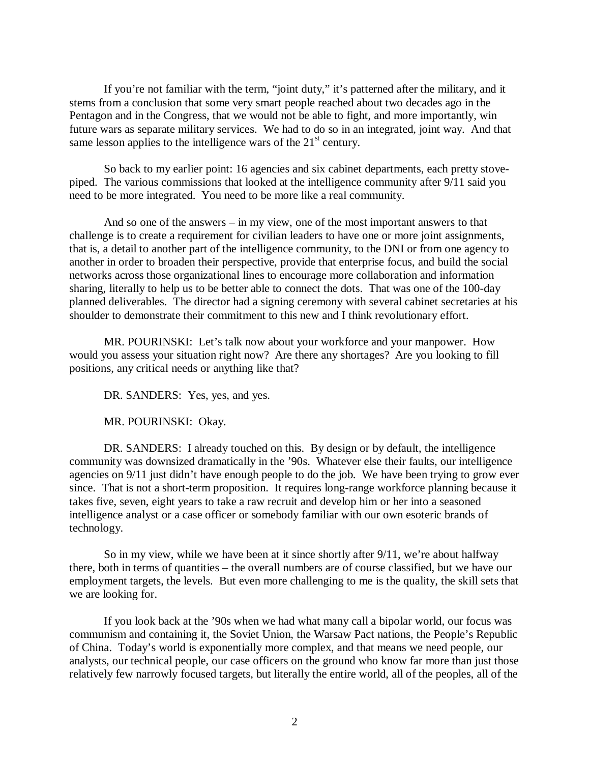If you're not familiar with the term, "joint duty," it's patterned after the military, and it stems from a conclusion that some very smart people reached about two decades ago in the Pentagon and in the Congress, that we would not be able to fight, and more importantly, win future wars as separate military services. We had to do so in an integrated, joint way. And that same lesson applies to the intelligence wars of the  $21<sup>st</sup>$  century.

So back to my earlier point: 16 agencies and six cabinet departments, each pretty stovepiped. The various commissions that looked at the intelligence community after 9/11 said you need to be more integrated. You need to be more like a real community.

And so one of the answers – in my view, one of the most important answers to that challenge is to create a requirement for civilian leaders to have one or more joint assignments, that is, a detail to another part of the intelligence community, to the DNI or from one agency to another in order to broaden their perspective, provide that enterprise focus, and build the social networks across those organizational lines to encourage more collaboration and information sharing, literally to help us to be better able to connect the dots. That was one of the 100-day planned deliverables. The director had a signing ceremony with several cabinet secretaries at his shoulder to demonstrate their commitment to this new and I think revolutionary effort.

MR. POURINSKI: Let's talk now about your workforce and your manpower. How would you assess your situation right now? Are there any shortages? Are you looking to fill positions, any critical needs or anything like that?

DR. SANDERS: Yes, yes, and yes.

MR. POURINSKI: Okay.

DR. SANDERS: I already touched on this. By design or by default, the intelligence community was downsized dramatically in the '90s. Whatever else their faults, our intelligence agencies on 9/11 just didn't have enough people to do the job. We have been trying to grow ever since. That is not a short-term proposition. It requires long-range workforce planning because it takes five, seven, eight years to take a raw recruit and develop him or her into a seasoned intelligence analyst or a case officer or somebody familiar with our own esoteric brands of technology.

So in my view, while we have been at it since shortly after 9/11, we're about halfway there, both in terms of quantities – the overall numbers are of course classified, but we have our employment targets, the levels. But even more challenging to me is the quality, the skill sets that we are looking for.

If you look back at the '90s when we had what many call a bipolar world, our focus was communism and containing it, the Soviet Union, the Warsaw Pact nations, the People's Republic of China. Today's world is exponentially more complex, and that means we need people, our analysts, our technical people, our case officers on the ground who know far more than just those relatively few narrowly focused targets, but literally the entire world, all of the peoples, all of the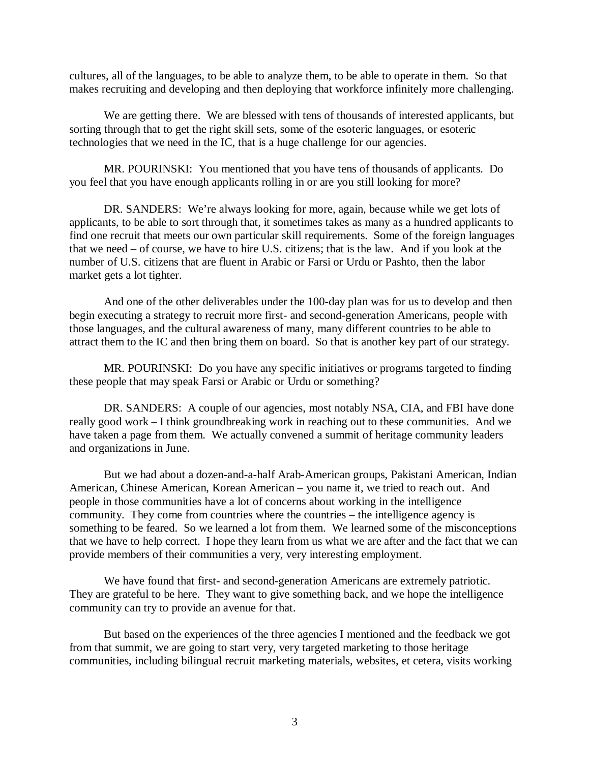cultures, all of the languages, to be able to analyze them, to be able to operate in them. So that makes recruiting and developing and then deploying that workforce infinitely more challenging.

We are getting there. We are blessed with tens of thousands of interested applicants, but sorting through that to get the right skill sets, some of the esoteric languages, or esoteric technologies that we need in the IC, that is a huge challenge for our agencies.

MR. POURINSKI: You mentioned that you have tens of thousands of applicants. Do you feel that you have enough applicants rolling in or are you still looking for more?

DR. SANDERS: We're always looking for more, again, because while we get lots of applicants, to be able to sort through that, it sometimes takes as many as a hundred applicants to find one recruit that meets our own particular skill requirements. Some of the foreign languages that we need – of course, we have to hire U.S. citizens; that is the law. And if you look at the number of U.S. citizens that are fluent in Arabic or Farsi or Urdu or Pashto, then the labor market gets a lot tighter.

And one of the other deliverables under the 100-day plan was for us to develop and then begin executing a strategy to recruit more first- and second-generation Americans, people with those languages, and the cultural awareness of many, many different countries to be able to attract them to the IC and then bring them on board. So that is another key part of our strategy.

MR. POURINSKI: Do you have any specific initiatives or programs targeted to finding these people that may speak Farsi or Arabic or Urdu or something?

DR. SANDERS: A couple of our agencies, most notably NSA, CIA, and FBI have done really good work – I think groundbreaking work in reaching out to these communities. And we have taken a page from them. We actually convened a summit of heritage community leaders and organizations in June.

But we had about a dozen-and-a-half Arab-American groups, Pakistani American, Indian American, Chinese American, Korean American – you name it, we tried to reach out. And people in those communities have a lot of concerns about working in the intelligence community. They come from countries where the countries – the intelligence agency is something to be feared. So we learned a lot from them. We learned some of the misconceptions that we have to help correct. I hope they learn from us what we are after and the fact that we can provide members of their communities a very, very interesting employment.

We have found that first- and second-generation Americans are extremely patriotic. They are grateful to be here. They want to give something back, and we hope the intelligence community can try to provide an avenue for that.

But based on the experiences of the three agencies I mentioned and the feedback we got from that summit, we are going to start very, very targeted marketing to those heritage communities, including bilingual recruit marketing materials, websites, et cetera, visits working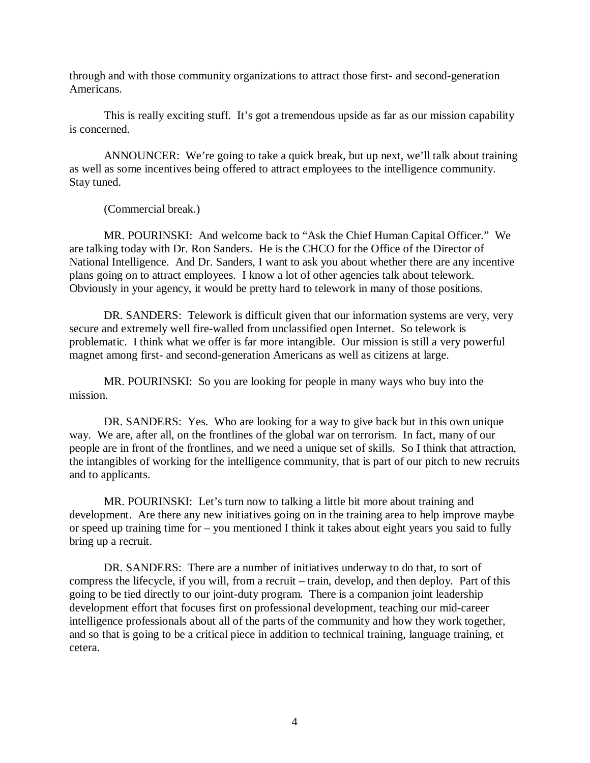through and with those community organizations to attract those first- and second-generation Americans.

This is really exciting stuff. It's got a tremendous upside as far as our mission capability is concerned.

ANNOUNCER: We're going to take a quick break, but up next, we'll talk about training as well as some incentives being offered to attract employees to the intelligence community. Stay tuned.

(Commercial break.)

MR. POURINSKI: And welcome back to "Ask the Chief Human Capital Officer." We are talking today with Dr. Ron Sanders. He is the CHCO for the Office of the Director of National Intelligence. And Dr. Sanders, I want to ask you about whether there are any incentive plans going on to attract employees. I know a lot of other agencies talk about telework. Obviously in your agency, it would be pretty hard to telework in many of those positions.

DR. SANDERS: Telework is difficult given that our information systems are very, very secure and extremely well fire-walled from unclassified open Internet. So telework is problematic. I think what we offer is far more intangible. Our mission is still a very powerful magnet among first- and second-generation Americans as well as citizens at large.

MR. POURINSKI: So you are looking for people in many ways who buy into the mission.

DR. SANDERS: Yes. Who are looking for a way to give back but in this own unique way. We are, after all, on the frontlines of the global war on terrorism. In fact, many of our people are in front of the frontlines, and we need a unique set of skills. So I think that attraction, the intangibles of working for the intelligence community, that is part of our pitch to new recruits and to applicants.

MR. POURINSKI: Let's turn now to talking a little bit more about training and development. Are there any new initiatives going on in the training area to help improve maybe or speed up training time for – you mentioned I think it takes about eight years you said to fully bring up a recruit.

DR. SANDERS: There are a number of initiatives underway to do that, to sort of compress the lifecycle, if you will, from a recruit – train, develop, and then deploy. Part of this going to be tied directly to our joint-duty program. There is a companion joint leadership development effort that focuses first on professional development, teaching our mid-career intelligence professionals about all of the parts of the community and how they work together, and so that is going to be a critical piece in addition to technical training, language training, et cetera.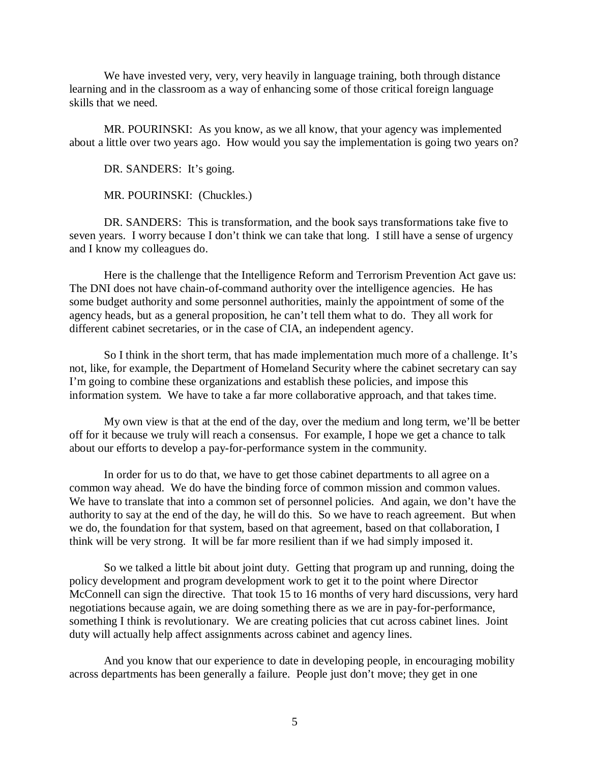We have invested very, very, very heavily in language training, both through distance learning and in the classroom as a way of enhancing some of those critical foreign language skills that we need.

MR. POURINSKI: As you know, as we all know, that your agency was implemented about a little over two years ago. How would you say the implementation is going two years on?

DR. SANDERS: It's going.

MR. POURINSKI: (Chuckles.)

DR. SANDERS: This is transformation, and the book says transformations take five to seven years. I worry because I don't think we can take that long. I still have a sense of urgency and I know my colleagues do.

Here is the challenge that the Intelligence Reform and Terrorism Prevention Act gave us: The DNI does not have chain-of-command authority over the intelligence agencies. He has some budget authority and some personnel authorities, mainly the appointment of some of the agency heads, but as a general proposition, he can't tell them what to do. They all work for different cabinet secretaries, or in the case of CIA, an independent agency.

So I think in the short term, that has made implementation much more of a challenge. It's not, like, for example, the Department of Homeland Security where the cabinet secretary can say I'm going to combine these organizations and establish these policies, and impose this information system. We have to take a far more collaborative approach, and that takes time.

My own view is that at the end of the day, over the medium and long term, we'll be better off for it because we truly will reach a consensus. For example, I hope we get a chance to talk about our efforts to develop a pay-for-performance system in the community.

In order for us to do that, we have to get those cabinet departments to all agree on a common way ahead. We do have the binding force of common mission and common values. We have to translate that into a common set of personnel policies. And again, we don't have the authority to say at the end of the day, he will do this. So we have to reach agreement. But when we do, the foundation for that system, based on that agreement, based on that collaboration, I think will be very strong. It will be far more resilient than if we had simply imposed it.

So we talked a little bit about joint duty. Getting that program up and running, doing the policy development and program development work to get it to the point where Director McConnell can sign the directive. That took 15 to 16 months of very hard discussions, very hard negotiations because again, we are doing something there as we are in pay-for-performance, something I think is revolutionary. We are creating policies that cut across cabinet lines. Joint duty will actually help affect assignments across cabinet and agency lines.

And you know that our experience to date in developing people, in encouraging mobility across departments has been generally a failure. People just don't move; they get in one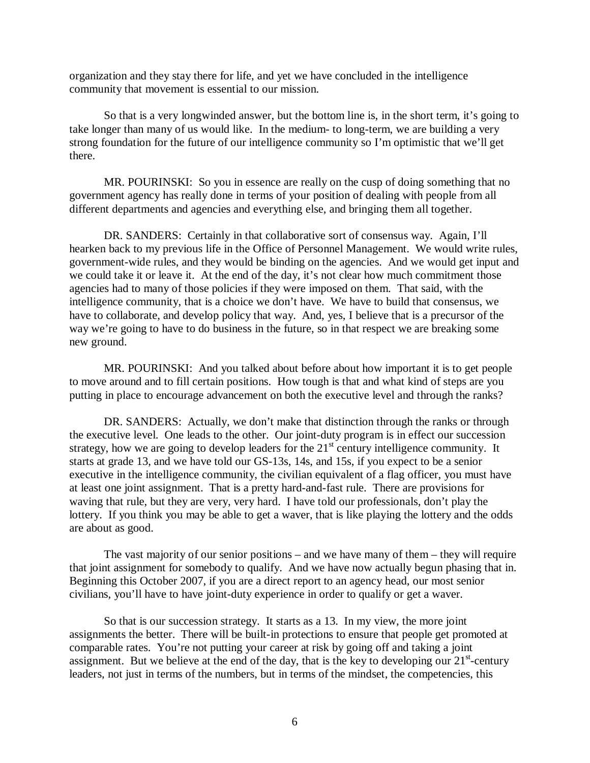organization and they stay there for life, and yet we have concluded in the intelligence community that movement is essential to our mission.

So that is a very longwinded answer, but the bottom line is, in the short term, it's going to take longer than many of us would like. In the medium- to long-term, we are building a very strong foundation for the future of our intelligence community so I'm optimistic that we'll get there.

MR. POURINSKI: So you in essence are really on the cusp of doing something that no government agency has really done in terms of your position of dealing with people from all different departments and agencies and everything else, and bringing them all together.

DR. SANDERS: Certainly in that collaborative sort of consensus way. Again, I'll hearken back to my previous life in the Office of Personnel Management. We would write rules, government-wide rules, and they would be binding on the agencies. And we would get input and we could take it or leave it. At the end of the day, it's not clear how much commitment those agencies had to many of those policies if they were imposed on them. That said, with the intelligence community, that is a choice we don't have. We have to build that consensus, we have to collaborate, and develop policy that way. And, yes, I believe that is a precursor of the way we're going to have to do business in the future, so in that respect we are breaking some new ground.

MR. POURINSKI: And you talked about before about how important it is to get people to move around and to fill certain positions. How tough is that and what kind of steps are you putting in place to encourage advancement on both the executive level and through the ranks?

DR. SANDERS: Actually, we don't make that distinction through the ranks or through the executive level. One leads to the other. Our joint-duty program is in effect our succession strategy, how we are going to develop leaders for the  $21<sup>st</sup>$  century intelligence community. It starts at grade 13, and we have told our GS-13s, 14s, and 15s, if you expect to be a senior executive in the intelligence community, the civilian equivalent of a flag officer, you must have at least one joint assignment. That is a pretty hard-and-fast rule. There are provisions for waving that rule, but they are very, very hard. I have told our professionals, don't play the lottery. If you think you may be able to get a waver, that is like playing the lottery and the odds are about as good.

The vast majority of our senior positions – and we have many of them – they will require that joint assignment for somebody to qualify. And we have now actually begun phasing that in. Beginning this October 2007, if you are a direct report to an agency head, our most senior civilians, you'll have to have joint-duty experience in order to qualify or get a waver.

So that is our succession strategy. It starts as a 13. In my view, the more joint assignments the better. There will be built-in protections to ensure that people get promoted at comparable rates. You're not putting your career at risk by going off and taking a joint assignment. But we believe at the end of the day, that is the key to developing our  $21<sup>st</sup>$ -century leaders, not just in terms of the numbers, but in terms of the mindset, the competencies, this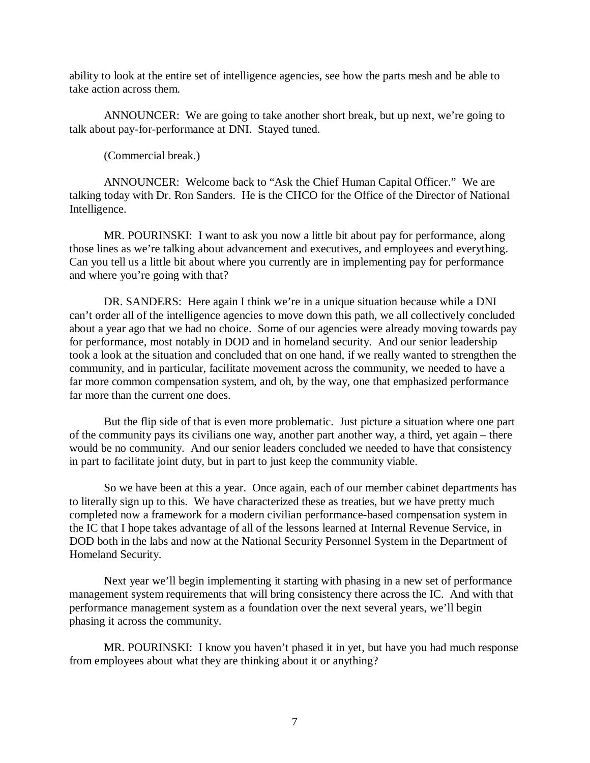ability to look at the entire set of intelligence agencies, see how the parts mesh and be able to take action across them.

ANNOUNCER: We are going to take another short break, but up next, we're going to talk about pay-for-performance at DNI. Stayed tuned.

(Commercial break.)

ANNOUNCER: Welcome back to "Ask the Chief Human Capital Officer." We are talking today with Dr. Ron Sanders. He is the CHCO for the Office of the Director of National Intelligence.

MR. POURINSKI: I want to ask you now a little bit about pay for performance, along those lines as we're talking about advancement and executives, and employees and everything. Can you tell us a little bit about where you currently are in implementing pay for performance and where you're going with that?

DR. SANDERS: Here again I think we're in a unique situation because while a DNI can't order all of the intelligence agencies to move down this path, we all collectively concluded about a year ago that we had no choice. Some of our agencies were already moving towards pay for performance, most notably in DOD and in homeland security. And our senior leadership took a look at the situation and concluded that on one hand, if we really wanted to strengthen the community, and in particular, facilitate movement across the community, we needed to have a far more common compensation system, and oh, by the way, one that emphasized performance far more than the current one does.

But the flip side of that is even more problematic. Just picture a situation where one part of the community pays its civilians one way, another part another way, a third, yet again – there would be no community. And our senior leaders concluded we needed to have that consistency in part to facilitate joint duty, but in part to just keep the community viable.

So we have been at this a year. Once again, each of our member cabinet departments has to literally sign up to this. We have characterized these as treaties, but we have pretty much completed now a framework for a modern civilian performance-based compensation system in the IC that I hope takes advantage of all of the lessons learned at Internal Revenue Service, in DOD both in the labs and now at the National Security Personnel System in the Department of Homeland Security.

Next year we'll begin implementing it starting with phasing in a new set of performance management system requirements that will bring consistency there across the IC. And with that performance management system as a foundation over the next several years, we'll begin phasing it across the community.

MR. POURINSKI: I know you haven't phased it in yet, but have you had much response from employees about what they are thinking about it or anything?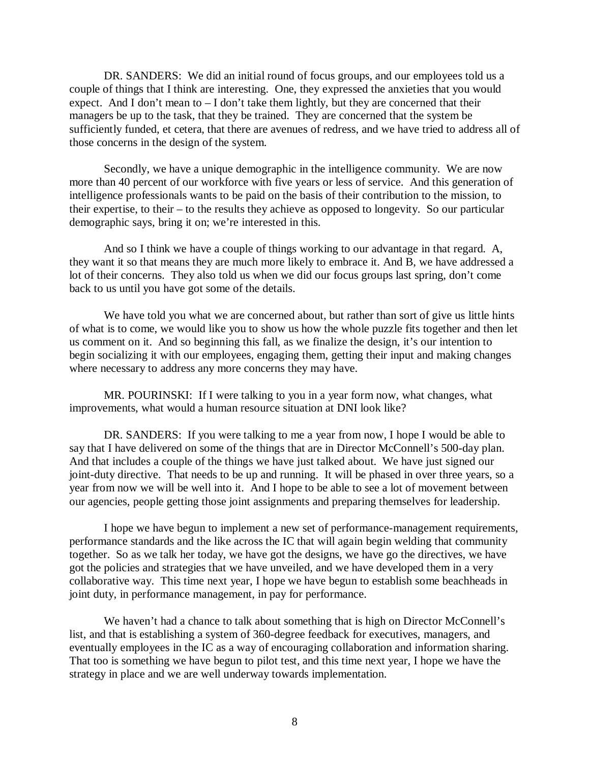DR. SANDERS: We did an initial round of focus groups, and our employees told us a couple of things that I think are interesting. One, they expressed the anxieties that you would expect. And I don't mean to – I don't take them lightly, but they are concerned that their managers be up to the task, that they be trained. They are concerned that the system be sufficiently funded, et cetera, that there are avenues of redress, and we have tried to address all of those concerns in the design of the system.

Secondly, we have a unique demographic in the intelligence community. We are now more than 40 percent of our workforce with five years or less of service. And this generation of intelligence professionals wants to be paid on the basis of their contribution to the mission, to their expertise, to their – to the results they achieve as opposed to longevity. So our particular demographic says, bring it on; we're interested in this.

And so I think we have a couple of things working to our advantage in that regard. A, they want it so that means they are much more likely to embrace it. And B, we have addressed a lot of their concerns. They also told us when we did our focus groups last spring, don't come back to us until you have got some of the details.

We have told you what we are concerned about, but rather than sort of give us little hints of what is to come, we would like you to show us how the whole puzzle fits together and then let us comment on it. And so beginning this fall, as we finalize the design, it's our intention to begin socializing it with our employees, engaging them, getting their input and making changes where necessary to address any more concerns they may have.

MR. POURINSKI: If I were talking to you in a year form now, what changes, what improvements, what would a human resource situation at DNI look like?

DR. SANDERS: If you were talking to me a year from now, I hope I would be able to say that I have delivered on some of the things that are in Director McConnell's 500-day plan. And that includes a couple of the things we have just talked about. We have just signed our joint-duty directive. That needs to be up and running. It will be phased in over three years, so a year from now we will be well into it. And I hope to be able to see a lot of movement between our agencies, people getting those joint assignments and preparing themselves for leadership.

I hope we have begun to implement a new set of performance-management requirements, performance standards and the like across the IC that will again begin welding that community together. So as we talk her today, we have got the designs, we have go the directives, we have got the policies and strategies that we have unveiled, and we have developed them in a very collaborative way. This time next year, I hope we have begun to establish some beachheads in joint duty, in performance management, in pay for performance.

We haven't had a chance to talk about something that is high on Director McConnell's list, and that is establishing a system of 360-degree feedback for executives, managers, and eventually employees in the IC as a way of encouraging collaboration and information sharing. That too is something we have begun to pilot test, and this time next year, I hope we have the strategy in place and we are well underway towards implementation.